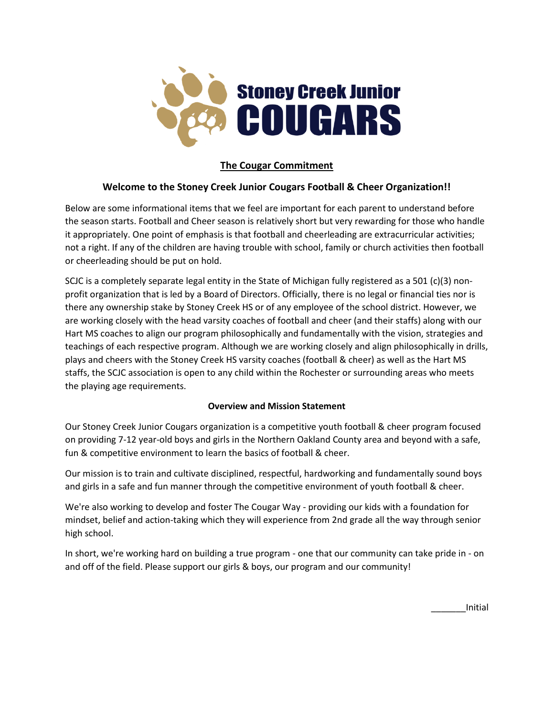

# **The Cougar Commitment**

# **Welcome to the Stoney Creek Junior Cougars Football & Cheer Organization!!**

Below are some informational items that we feel are important for each parent to understand before the season starts. Football and Cheer season is relatively short but very rewarding for those who handle it appropriately. One point of emphasis is that football and cheerleading are extracurricular activities; not a right. If any of the children are having trouble with school, family or church activities then football or cheerleading should be put on hold.

SCJC is a completely separate legal entity in the State of Michigan fully registered as a 501 (c)(3) nonprofit organization that is led by a Board of Directors. Officially, there is no legal or financial ties nor is there any ownership stake by Stoney Creek HS or of any employee of the school district. However, we are working closely with the head varsity coaches of football and cheer (and their staffs) along with our Hart MS coaches to align our program philosophically and fundamentally with the vision, strategies and teachings of each respective program. Although we are working closely and align philosophically in drills, plays and cheers with the Stoney Creek HS varsity coaches (football & cheer) as well as the Hart MS staffs, the SCJC association is open to any child within the Rochester or surrounding areas who meets the playing age requirements.

### **Overview and Mission Statement**

Our Stoney Creek Junior Cougars organization is a competitive youth football & cheer program focused on providing 7-12 year-old boys and girls in the Northern Oakland County area and beyond with a safe, fun & competitive environment to learn the basics of football & cheer.

Our mission is to train and cultivate disciplined, respectful, hardworking and fundamentally sound boys and girls in a safe and fun manner through the competitive environment of youth football & cheer.

We're also working to develop and foster The Cougar Way - providing our kids with a foundation for mindset, belief and action-taking which they will experience from 2nd grade all the way through senior high school.

In short, we're working hard on building a true program - one that our community can take pride in - on and off of the field. Please support our girls & boys, our program and our community!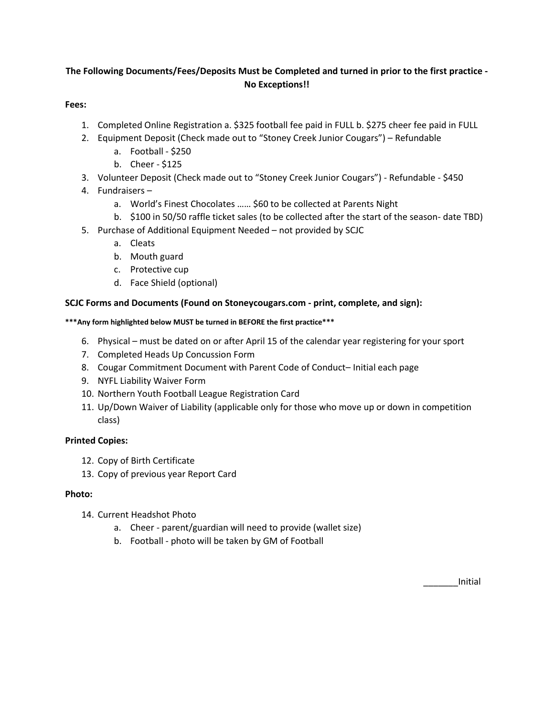# **The Following Documents/Fees/Deposits Must be Completed and turned in prior to the first practice - No Exceptions!!**

### **Fees:**

- 1. Completed Online Registration a. \$325 football fee paid in FULL b. \$275 cheer fee paid in FULL
- 2. Equipment Deposit (Check made out to "Stoney Creek Junior Cougars") Refundable
	- a. Football \$250
	- b. Cheer \$125
- 3. Volunteer Deposit (Check made out to "Stoney Creek Junior Cougars") Refundable \$450
- 4. Fundraisers
	- a. World's Finest Chocolates …… \$60 to be collected at Parents Night
	- b. \$100 in 50/50 raffle ticket sales (to be collected after the start of the season- date TBD)
- 5. Purchase of Additional Equipment Needed not provided by SCJC
	- a. Cleats
	- b. Mouth guard
	- c. Protective cup
	- d. Face Shield (optional)

### **SCJC Forms and Documents (Found on Stoneycougars.com - print, complete, and sign):**

#### **\*\*\*Any form highlighted below MUST be turned in BEFORE the first practice\*\*\***

- 6. Physical must be dated on or after April 15 of the calendar year registering for your sport
- 7. Completed Heads Up Concussion Form
- 8. Cougar Commitment Document with Parent Code of Conduct– Initial each page
- 9. NYFL Liability Waiver Form
- 10. Northern Youth Football League Registration Card
- 11. Up/Down Waiver of Liability (applicable only for those who move up or down in competition class)

### **Printed Copies:**

- 12. Copy of Birth Certificate
- 13. Copy of previous year Report Card

### **Photo:**

- 14. Current Headshot Photo
	- a. Cheer parent/guardian will need to provide (wallet size)
	- b. Football photo will be taken by GM of Football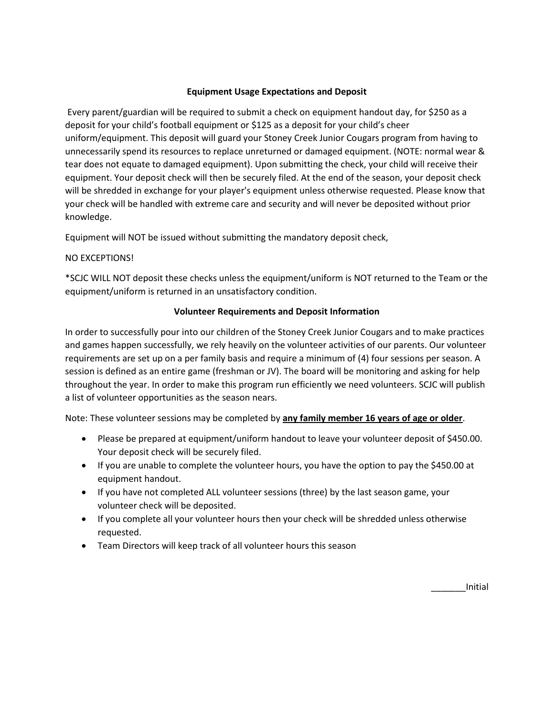### **Equipment Usage Expectations and Deposit**

Every parent/guardian will be required to submit a check on equipment handout day, for \$250 as a deposit for your child's football equipment or \$125 as a deposit for your child's cheer uniform/equipment. This deposit will guard your Stoney Creek Junior Cougars program from having to unnecessarily spend its resources to replace unreturned or damaged equipment. (NOTE: normal wear & tear does not equate to damaged equipment). Upon submitting the check, your child will receive their equipment. Your deposit check will then be securely filed. At the end of the season, your deposit check will be shredded in exchange for your player's equipment unless otherwise requested. Please know that your check will be handled with extreme care and security and will never be deposited without prior knowledge.

Equipment will NOT be issued without submitting the mandatory deposit check,

### NO EXCEPTIONS!

\*SCJC WILL NOT deposit these checks unless the equipment/uniform is NOT returned to the Team or the equipment/uniform is returned in an unsatisfactory condition.

### **Volunteer Requirements and Deposit Information**

In order to successfully pour into our children of the Stoney Creek Junior Cougars and to make practices and games happen successfully, we rely heavily on the volunteer activities of our parents. Our volunteer requirements are set up on a per family basis and require a minimum of (4) four sessions per season. A session is defined as an entire game (freshman or JV). The board will be monitoring and asking for help throughout the year. In order to make this program run efficiently we need volunteers. SCJC will publish a list of volunteer opportunities as the season nears.

Note: These volunteer sessions may be completed by **any family member 16 years of age or older**.

- Please be prepared at equipment/uniform handout to leave your volunteer deposit of \$450.00. Your deposit check will be securely filed.
- If you are unable to complete the volunteer hours, you have the option to pay the \$450.00 at equipment handout.
- If you have not completed ALL volunteer sessions (three) by the last season game, your volunteer check will be deposited.
- If you complete all your volunteer hours then your check will be shredded unless otherwise requested.
- Team Directors will keep track of all volunteer hours this season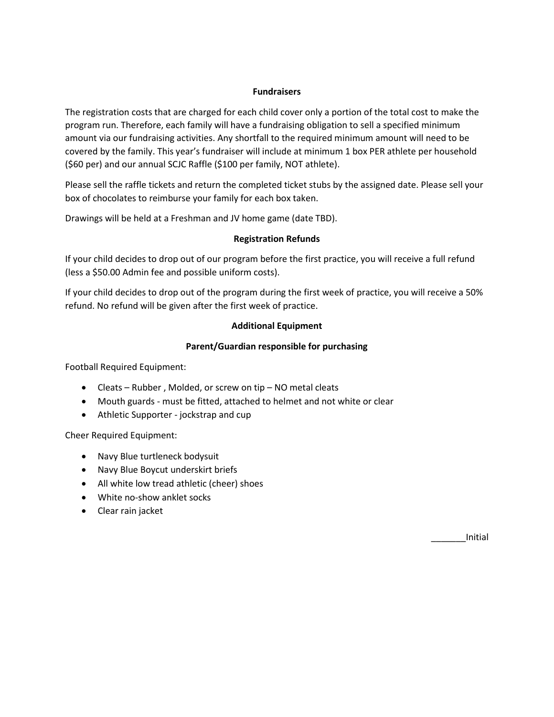#### **Fundraisers**

The registration costs that are charged for each child cover only a portion of the total cost to make the program run. Therefore, each family will have a fundraising obligation to sell a specified minimum amount via our fundraising activities. Any shortfall to the required minimum amount will need to be covered by the family. This year's fundraiser will include at minimum 1 box PER athlete per household (\$60 per) and our annual SCJC Raffle (\$100 per family, NOT athlete).

Please sell the raffle tickets and return the completed ticket stubs by the assigned date. Please sell your box of chocolates to reimburse your family for each box taken.

Drawings will be held at a Freshman and JV home game (date TBD).

### **Registration Refunds**

If your child decides to drop out of our program before the first practice, you will receive a full refund (less a \$50.00 Admin fee and possible uniform costs).

If your child decides to drop out of the program during the first week of practice, you will receive a 50% refund. No refund will be given after the first week of practice.

### **Additional Equipment**

### **Parent/Guardian responsible for purchasing**

Football Required Equipment:

- Cleats Rubber , Molded, or screw on tip NO metal cleats
- Mouth guards must be fitted, attached to helmet and not white or clear
- Athletic Supporter jockstrap and cup

Cheer Required Equipment:

- Navy Blue turtleneck bodysuit
- Navy Blue Boycut underskirt briefs
- All white low tread athletic (cheer) shoes
- White no-show anklet socks
- Clear rain jacket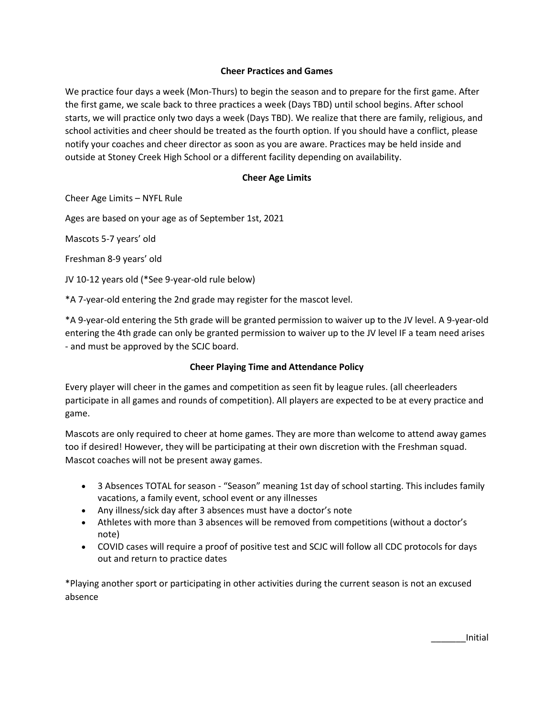### **Cheer Practices and Games**

We practice four days a week (Mon-Thurs) to begin the season and to prepare for the first game. After the first game, we scale back to three practices a week (Days TBD) until school begins. After school starts, we will practice only two days a week (Days TBD). We realize that there are family, religious, and school activities and cheer should be treated as the fourth option. If you should have a conflict, please notify your coaches and cheer director as soon as you are aware. Practices may be held inside and outside at Stoney Creek High School or a different facility depending on availability.

### **Cheer Age Limits**

Cheer Age Limits – NYFL Rule

Ages are based on your age as of September 1st, 2021

Mascots 5-7 years' old

Freshman 8-9 years' old

JV 10-12 years old (\*See 9-year-old rule below)

\*A 7-year-old entering the 2nd grade may register for the mascot level.

\*A 9-year-old entering the 5th grade will be granted permission to waiver up to the JV level. A 9-year-old entering the 4th grade can only be granted permission to waiver up to the JV level IF a team need arises - and must be approved by the SCJC board.

### **Cheer Playing Time and Attendance Policy**

Every player will cheer in the games and competition as seen fit by league rules. (all cheerleaders participate in all games and rounds of competition). All players are expected to be at every practice and game.

Mascots are only required to cheer at home games. They are more than welcome to attend away games too if desired! However, they will be participating at their own discretion with the Freshman squad. Mascot coaches will not be present away games.

- 3 Absences TOTAL for season "Season" meaning 1st day of school starting. This includes family vacations, a family event, school event or any illnesses
- Any illness/sick day after 3 absences must have a doctor's note
- Athletes with more than 3 absences will be removed from competitions (without a doctor's note)
- COVID cases will require a proof of positive test and SCJC will follow all CDC protocols for days out and return to practice dates

\*Playing another sport or participating in other activities during the current season is not an excused absence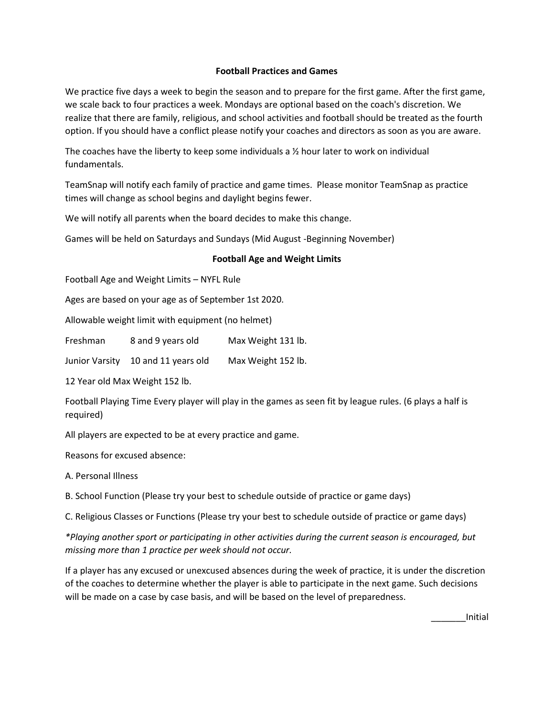### **Football Practices and Games**

We practice five days a week to begin the season and to prepare for the first game. After the first game, we scale back to four practices a week. Mondays are optional based on the coach's discretion. We realize that there are family, religious, and school activities and football should be treated as the fourth option. If you should have a conflict please notify your coaches and directors as soon as you are aware.

The coaches have the liberty to keep some individuals a  $\frac{1}{2}$  hour later to work on individual fundamentals.

TeamSnap will notify each family of practice and game times. Please monitor TeamSnap as practice times will change as school begins and daylight begins fewer.

We will notify all parents when the board decides to make this change.

Games will be held on Saturdays and Sundays (Mid August -Beginning November)

### **Football Age and Weight Limits**

Football Age and Weight Limits – NYFL Rule

Ages are based on your age as of September 1st 2020.

Allowable weight limit with equipment (no helmet)

Freshman 8 and 9 years old Max Weight 131 lb.

Junior Varsity 10 and 11 years old Max Weight 152 lb.

12 Year old Max Weight 152 lb.

Football Playing Time Every player will play in the games as seen fit by league rules. (6 plays a half is required)

All players are expected to be at every practice and game.

Reasons for excused absence:

A. Personal Illness

B. School Function (Please try your best to schedule outside of practice or game days)

C. Religious Classes or Functions (Please try your best to schedule outside of practice or game days)

*\*Playing another sport or participating in other activities during the current season is encouraged, but missing more than 1 practice per week should not occur.*

If a player has any excused or unexcused absences during the week of practice, it is under the discretion of the coaches to determine whether the player is able to participate in the next game. Such decisions will be made on a case by case basis, and will be based on the level of preparedness.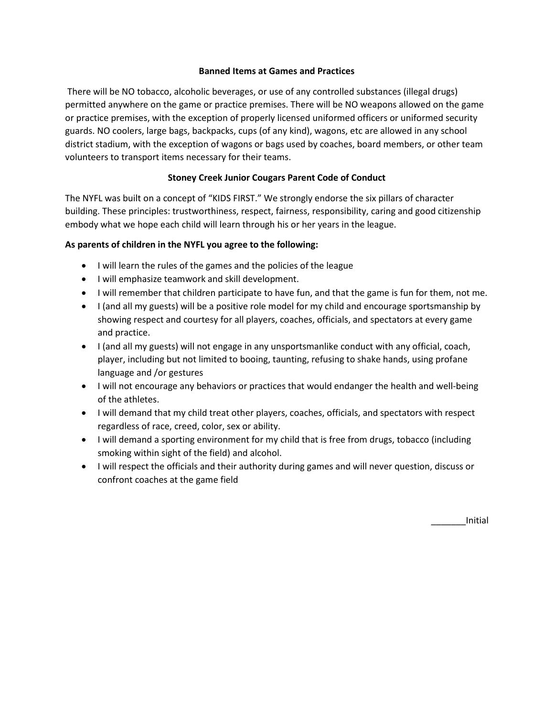### **Banned Items at Games and Practices**

There will be NO tobacco, alcoholic beverages, or use of any controlled substances (illegal drugs) permitted anywhere on the game or practice premises. There will be NO weapons allowed on the game or practice premises, with the exception of properly licensed uniformed officers or uniformed security guards. NO coolers, large bags, backpacks, cups (of any kind), wagons, etc are allowed in any school district stadium, with the exception of wagons or bags used by coaches, board members, or other team volunteers to transport items necessary for their teams.

## **Stoney Creek Junior Cougars Parent Code of Conduct**

The NYFL was built on a concept of "KIDS FIRST." We strongly endorse the six pillars of character building. These principles: trustworthiness, respect, fairness, responsibility, caring and good citizenship embody what we hope each child will learn through his or her years in the league.

## **As parents of children in the NYFL you agree to the following:**

- I will learn the rules of the games and the policies of the league
- I will emphasize teamwork and skill development.
- I will remember that children participate to have fun, and that the game is fun for them, not me.
- I (and all my guests) will be a positive role model for my child and encourage sportsmanship by showing respect and courtesy for all players, coaches, officials, and spectators at every game and practice.
- I (and all my guests) will not engage in any unsportsmanlike conduct with any official, coach, player, including but not limited to booing, taunting, refusing to shake hands, using profane language and /or gestures
- I will not encourage any behaviors or practices that would endanger the health and well-being of the athletes.
- I will demand that my child treat other players, coaches, officials, and spectators with respect regardless of race, creed, color, sex or ability.
- I will demand a sporting environment for my child that is free from drugs, tobacco (including smoking within sight of the field) and alcohol.
- I will respect the officials and their authority during games and will never question, discuss or confront coaches at the game field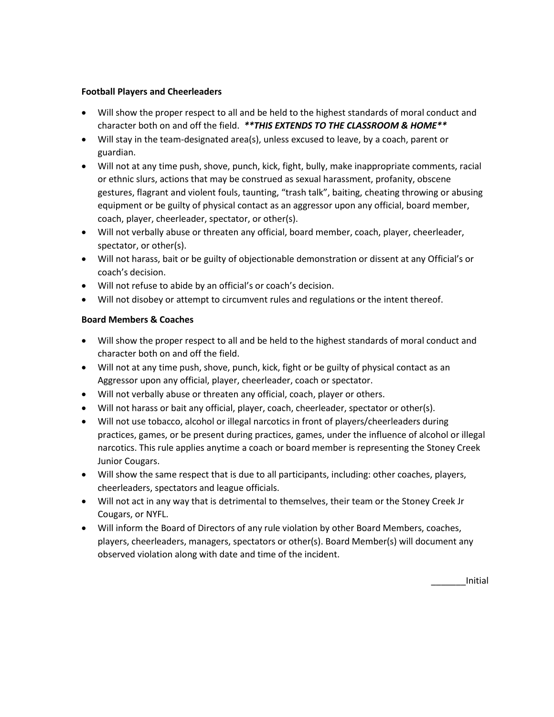### **Football Players and Cheerleaders**

- Will show the proper respect to all and be held to the highest standards of moral conduct and character both on and off the field. *\*\*THIS EXTENDS TO THE CLASSROOM & HOME\*\**
- Will stay in the team-designated area(s), unless excused to leave, by a coach, parent or guardian.
- Will not at any time push, shove, punch, kick, fight, bully, make inappropriate comments, racial or ethnic slurs, actions that may be construed as sexual harassment, profanity, obscene gestures, flagrant and violent fouls, taunting, "trash talk", baiting, cheating throwing or abusing equipment or be guilty of physical contact as an aggressor upon any official, board member, coach, player, cheerleader, spectator, or other(s).
- Will not verbally abuse or threaten any official, board member, coach, player, cheerleader, spectator, or other(s).
- Will not harass, bait or be guilty of objectionable demonstration or dissent at any Official's or coach's decision.
- Will not refuse to abide by an official's or coach's decision.
- Will not disobey or attempt to circumvent rules and regulations or the intent thereof.

## **Board Members & Coaches**

- Will show the proper respect to all and be held to the highest standards of moral conduct and character both on and off the field.
- Will not at any time push, shove, punch, kick, fight or be guilty of physical contact as an Aggressor upon any official, player, cheerleader, coach or spectator.
- Will not verbally abuse or threaten any official, coach, player or others.
- Will not harass or bait any official, player, coach, cheerleader, spectator or other(s).
- Will not use tobacco, alcohol or illegal narcotics in front of players/cheerleaders during practices, games, or be present during practices, games, under the influence of alcohol or illegal narcotics. This rule applies anytime a coach or board member is representing the Stoney Creek Junior Cougars.
- Will show the same respect that is due to all participants, including: other coaches, players, cheerleaders, spectators and league officials.
- Will not act in any way that is detrimental to themselves, their team or the Stoney Creek Jr Cougars, or NYFL.
- Will inform the Board of Directors of any rule violation by other Board Members, coaches, players, cheerleaders, managers, spectators or other(s). Board Member(s) will document any observed violation along with date and time of the incident.